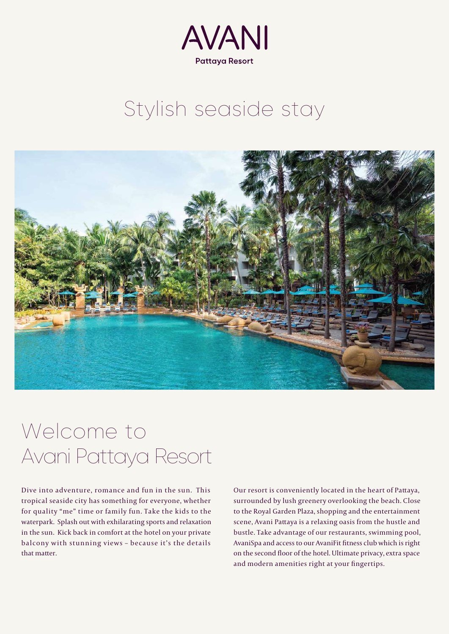

## Stylish seaside stay



## Welcome to Avani Pattaya Resort

Dive into adventure, romance and fun in the sun. This tropical seaside city has something for everyone, whether for quality "me" time or family fun. Take the kids to the waterpark. Splash out with exhilarating sports and relaxation in the sun. Kick back in comfort at the hotel on your private balcony with stunning views – because it's the details that matter.

Our resort is conveniently located in the heart of Pattaya, surrounded by lush greenery overlooking the beach. Close to the Royal Garden Plaza, shopping and the entertainment scene, Avani Pattaya is a relaxing oasis from the hustle and bustle. Take advantage of our restaurants, swimming pool, AvaniSpa and access to our AvaniFit fitness club which is right on the second floor of the hotel. Ultimate privacy, extra space and modern amenities right at your fingertips.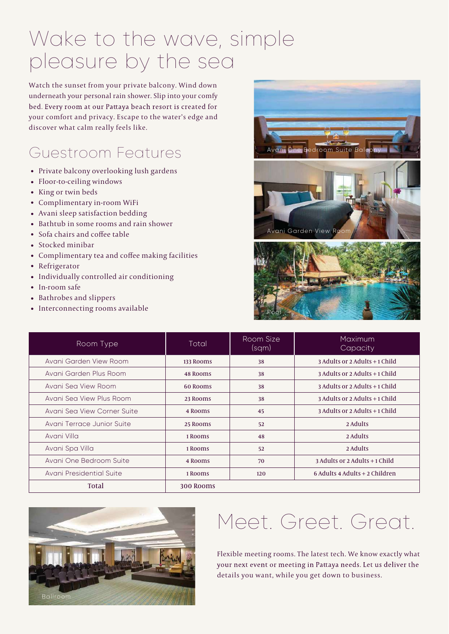## Wake to the wave, simple pleasure by the sea

Watch the sunset from your private balcony. Wind down underneath your personal rain shower. Slip into your comfy bed. Every room at our Pattaya beach resort is created for your comfort and privacy. Escape to the water's edge and discover what calm really feels like.

### Guestroom Features

- Private balcony overlooking lush gardens
- Floor-to-ceiling windows
- King or twin beds
- Complimentary in-room WiFi
- Avani sleep satisfaction bedding
- Bathtub in some rooms and rain shower
- Sofa chairs and coffee table
- Stocked minibar
- Complimentary tea and coffee making facilities
- Refrigerator
- Individually controlled air conditioning
- In-room safe
- Bathrobes and slippers
- Interconnecting rooms available





| Room Type                   | Total     | Room Size<br>(sqm) | Maximum<br>Capacity                 |
|-----------------------------|-----------|--------------------|-------------------------------------|
| Avani Garden View Room      | 133 Rooms | 38                 | 3 Adults or 2 Adults + 1 Child      |
| Avani Garden Plus Room      | 48 Rooms  | 38                 | 3 Adults or 2 Adults + 1 Child      |
| Avani Sea View Room         | 60 Rooms  | 38                 | $3$ Adults or $2$ Adults $+1$ Child |
| Avani Sea View Plus Room    | 23 Rooms  | 38                 | 3 Adults or 2 Adults + 1 Child      |
| Avani Sea View Corner Suite | 4 Rooms   | 45                 | 3 Adults or 2 Adults + 1 Child      |
| Avani Terrace Junior Suite  | 25 Rooms  | 52                 | 2 Adults                            |
| Avani Villa                 | 1 Rooms   | 48                 | 2 Adults                            |
| Avani Spa Villa             | 1 Rooms   | 52                 | 2 Adults                            |
| Avani One Bedroom Suite     | 4 Rooms   | 70                 | 3 Adults or 2 Adults + 1 Child      |
| Avani Presidential Suite    | 1 Rooms   | 120                | 6 Adults 4 Adults + 2 Children      |
| <b>Total</b>                | 300 Rooms |                    |                                     |



# Meet. Greet. Great.

Flexible meeting rooms. The latest tech. We know exactly what your next event or meeting in Pattaya needs. Let us deliver the details you want, while you get down to business.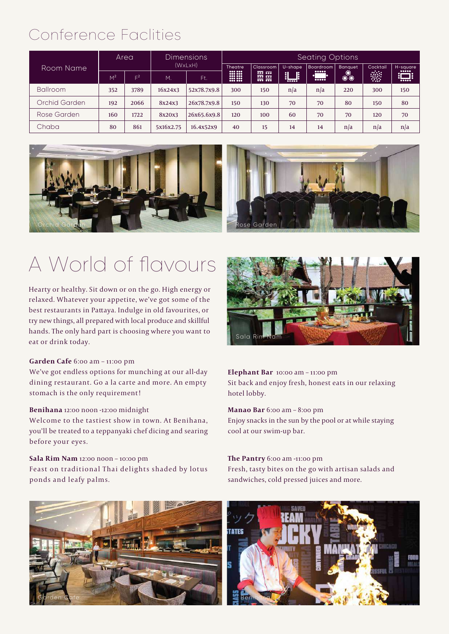## Conference Faclities

| Room Name       | Area           |                |           | <b>Dimensions</b> |                                                                                                                                                                                                                                                                                                                                                                                                                           | <b>Seating Options</b>                                            |           |                                                    |                |          |                                                                                              |
|-----------------|----------------|----------------|-----------|-------------------|---------------------------------------------------------------------------------------------------------------------------------------------------------------------------------------------------------------------------------------------------------------------------------------------------------------------------------------------------------------------------------------------------------------------------|-------------------------------------------------------------------|-----------|----------------------------------------------------|----------------|----------|----------------------------------------------------------------------------------------------|
|                 |                |                | (WxLxH)   |                   | <b>Theatre</b>                                                                                                                                                                                                                                                                                                                                                                                                            | <b>Classroom</b>                                                  | U-shape   | <b>Boardroom</b>                                   | <b>Banquet</b> | Cocktail | H-square<br>$\begin{array}{ccc} \bullet & \bullet & \bullet & \bullet & \bullet \end{array}$ |
|                 | M <sup>2</sup> | $\mathsf{E}^2$ | M         | Ft.               | $\begin{array}{ c c c c }\hline \textbf{0} & \textbf{0} & \textbf{0} & \textbf{0} & \textbf{0} & \textbf{0} & \textbf{0} & \textbf{0} & \textbf{0} & \textbf{0} & \textbf{0} & \textbf{0} & \textbf{0} & \textbf{0} & \textbf{0} & \textbf{0} & \textbf{0} & \textbf{0} & \textbf{0} & \textbf{0} & \textbf{0} & \textbf{0} & \textbf{0} & \textbf{0} & \textbf{0} & \textbf{0} & \textbf{0} & \textbf{0} & \textbf{0} &$ | $\overline{000}$ $\overline{000}$<br>$\overline{}$<br>$500 - 500$ | <u>  </u> | 00000<br>$\bullet \bullet \bullet \bullet \bullet$ | 4              | W.       | ΠÞ<br>gШ<br>$\bullet \bullet \bullet \bullet \bullet$                                        |
| <b>Ballroom</b> | 352            | 3789           | 16x24x3   | 52x78.7x9.8       | 300                                                                                                                                                                                                                                                                                                                                                                                                                       | 150                                                               | n/a       | n/a                                                | 220            | 300      | 150                                                                                          |
| Orchid Garden   | 192            | 2066           | 8x24x3    | 26x78.7x9.8       | 150                                                                                                                                                                                                                                                                                                                                                                                                                       | 130                                                               | 70        | 70                                                 | 80             | 150      | 80                                                                                           |
| Rose Garden     | 160            | 1722           | 8x20x3    | 26x65.6x9.8       | 120                                                                                                                                                                                                                                                                                                                                                                                                                       | 100                                                               | 60        | 70                                                 | 70             | 120      | 70                                                                                           |
| Chaba           | 80             | 861            | 5x16x2.75 | 16.4x52x9         | 40                                                                                                                                                                                                                                                                                                                                                                                                                        | 15                                                                | 14        | 14                                                 | n/a            | n/a      | n/a                                                                                          |





# A World of flavours

Hearty or healthy. Sit down or on the go. High energy or relaxed. Whatever your appetite, we've got some of the best restaurants in Pattaya. Indulge in old favourites, or try new things, all prepared with local produce and skillful hands. The only hard part is choosing where you want to eat or drink today.

#### **Garden Cafe** 6:00 am – 11:00 pm

We've got endless options for munching at our all-day dining restaurant. Go a la carte and more. An empty stomach is the only requirement!

#### **Benihana** 12:00 noon -12:00 midnight

Welcome to the tastiest show in town. At Benihana, you'll be treated to a teppanyaki chef dicing and searing before your eyes.

#### **Sala Rim Nam** 12:00 noon – 10:00 pm

Feast on traditional Thai delights shaded by lotus ponds and leafy palms.





#### **Elephant Bar** 10:00 am – 11:00 pm

Sit back and enjoy fresh, honest eats in our relaxing hotel lobby.

### **Manao Bar** 6:00 am – 8:00 pm

Enjoy snacks in the sun by the pool or at while staying cool at our swim-up bar.

### **The Pantry** 6:00 am -11:00 pm

Fresh, tasty bites on the go with artisan salads and sandwiches, cold pressed juices and more.